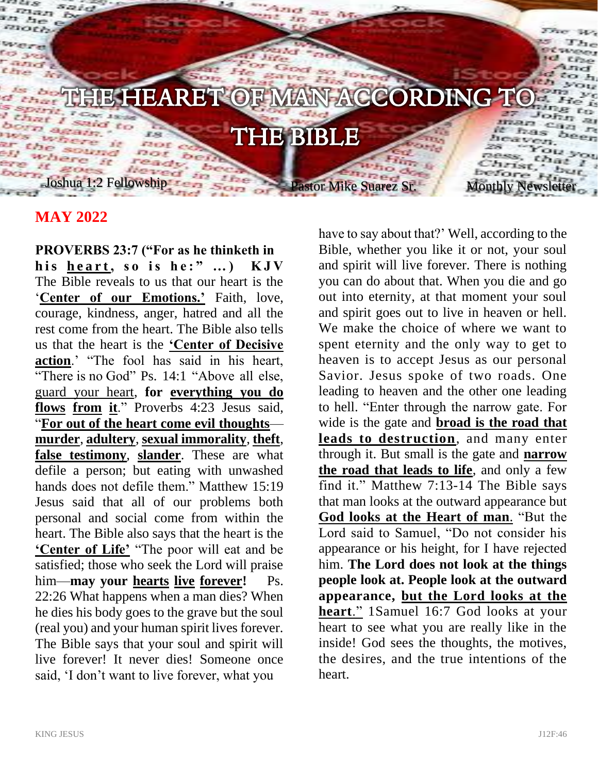

## **MAY 2022**

**PROVERBS 23:7 ("For as he thinketh in**  his heart, so is he:" ...) KJV The Bible reveals to us that our heart is the '**Center of our Emotions.'** Faith, love, courage, kindness, anger, hatred and all the rest come from the heart. The Bible also tells us that the heart is the **'Center of Decisive action**.' "The fool has said in his heart, "There is no God" Ps. 14:1 "Above all else, guard your heart, **for everything you do flows from it**." Proverbs 4:23 Jesus said, "**For out of the heart come evil thoughts murder**, **adultery**, **sexual immorality**, **theft**, **false testimony**, **slander**. These are what defile a person; but eating with unwashed hands does not defile them." Matthew 15:19 Jesus said that all of our problems both personal and social come from within the heart. The Bible also says that the heart is the **'Center of Life'** "The poor will eat and be satisfied; those who seek the Lord will praise him—**may your hearts live forever!** Ps. 22:26 What happens when a man dies? When he dies his body goes to the grave but the soul (real you) and your human spirit lives forever. The Bible says that your soul and spirit will live forever! It never dies! Someone once said, 'I don't want to live forever, what you

have to say about that?' Well, according to the Bible, whether you like it or not, your soul and spirit will live forever. There is nothing you can do about that. When you die and go out into eternity, at that moment your soul and spirit goes out to live in heaven or hell. We make the choice of where we want to spent eternity and the only way to get to heaven is to accept Jesus as our personal Savior. Jesus spoke of two roads. One leading to heaven and the other one leading to hell. "Enter through the narrow gate. For wide is the gate and **broad is the road that leads to destruction**, and many enter through it. But small is the gate and **narrow the road that leads to life**, and only a few find it." Matthew 7:13-14 The Bible says that man looks at the outward appearance but **God looks at the Heart of man**. "But the Lord said to Samuel, "Do not consider his appearance or his height, for I have rejected him. **The Lord does not look at the things people look at. People look at the outward appearance, but the Lord looks at the heart**." 1Samuel 16:7 God looks at your heart to see what you are really like in the inside! God sees the thoughts, the motives, the desires, and the true intentions of the heart.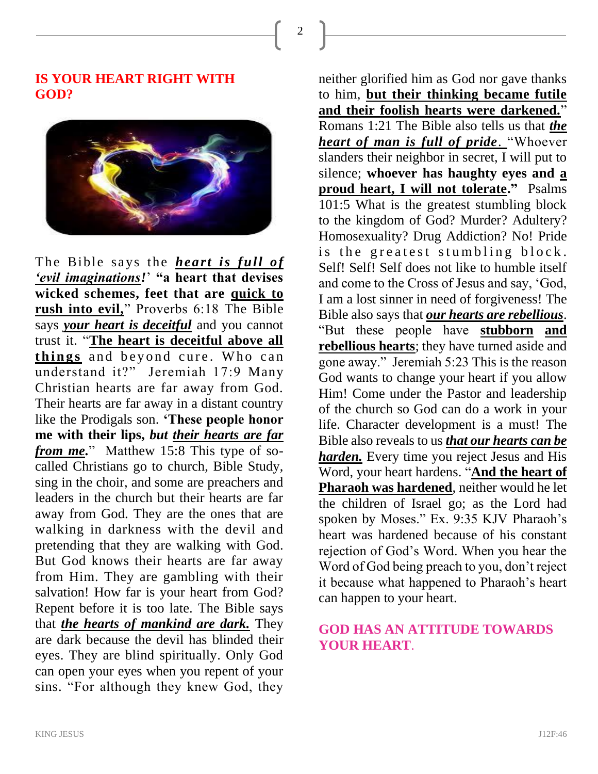2

## **IS YOUR HEART RIGHT WITH GOD?**



The Bible says the *heart is full of 'evil imaginations!*' **"a heart that devises wicked schemes, feet that are quick to rush into evil,**" Proverbs 6:18 The Bible says *your heart is deceitful* and you cannot trust it. "**The heart is deceitful above all**  things and beyond cure. Who can understand it?" Jeremiah 17:9 Many Christian hearts are far away from God. Their hearts are far away in a distant country like the Prodigals son. **'These people honor me with their lips,** *but their hearts are far from me.*" Matthew 15:8 This type of socalled Christians go to church, Bible Study, sing in the choir, and some are preachers and leaders in the church but their hearts are far away from God. They are the ones that are walking in darkness with the devil and pretending that they are walking with God. But God knows their hearts are far away from Him. They are gambling with their salvation! How far is your heart from God? Repent before it is too late. The Bible says that *the hearts of mankind are dark.* They are dark because the devil has blinded their eyes. They are blind spiritually. Only God can open your eyes when you repent of your sins. "For although they knew God, they

neither glorified him as God nor gave thanks to him, **but their thinking became futile and their foolish hearts were darkened.**" Romans 1:21 The Bible also tells us that *the heart of man is full of pride*. "Whoever slanders their neighbor in secret, I will put to silence; **whoever has haughty eyes and a proud heart, I will not tolerate."** Psalms 101:5 What is the greatest stumbling block to the kingdom of God? Murder? Adultery? Homosexuality? Drug Addiction? No! Pride is the greatest stumbling block. Self! Self! Self does not like to humble itself and come to the Cross of Jesus and say, 'God, I am a lost sinner in need of forgiveness! The Bible also says that *our hearts are rebellious*. "But these people have **stubborn and rebellious hearts**; they have turned aside and gone away." Jeremiah 5:23 This is the reason God wants to change your heart if you allow Him! Come under the Pastor and leadership of the church so God can do a work in your life. Character development is a must! The Bible also reveals to us *that our hearts can be harden.* Every time you reject Jesus and His Word, your heart hardens. "**And the heart of Pharaoh was hardened**, neither would he let the children of Israel go; as the Lord had spoken by Moses." Ex. 9:35 KJV Pharaoh's heart was hardened because of his constant rejection of God's Word. When you hear the Word of God being preach to you, don't reject it because what happened to Pharaoh's heart can happen to your heart.

## **GOD HAS AN ATTITUDE TOWARDS YOUR HEART**.